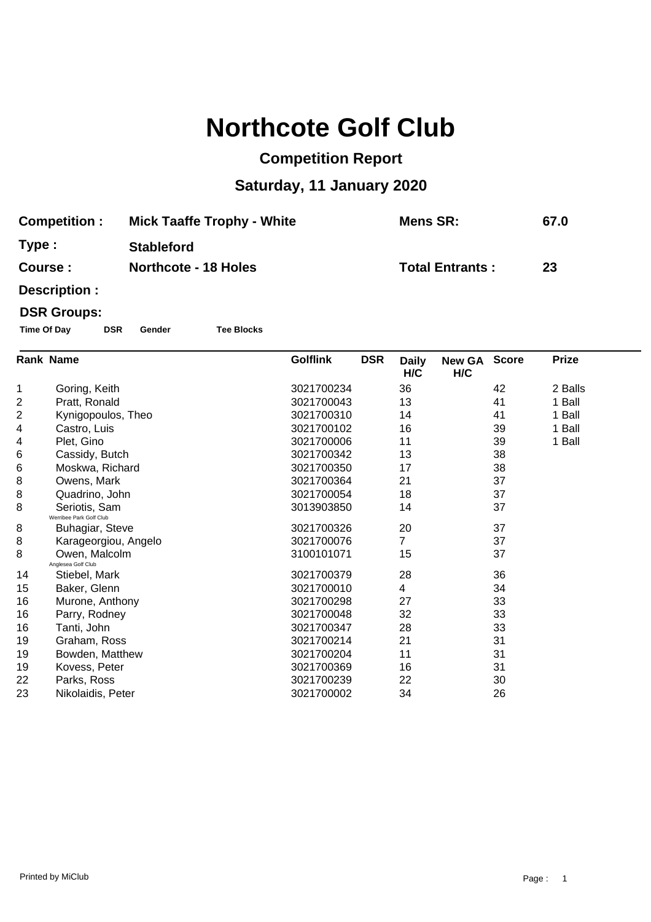## **Northcote Golf Club**

## **Competition Report**

## **Saturday, 11 January 2020**

| <b>Competition:</b> | <b>Mick Taaffe Trophy - White</b> | Mens SR:               | 67.0 |
|---------------------|-----------------------------------|------------------------|------|
| Type:               | <b>Stableford</b>                 |                        |      |
| Course :            | <b>Northcote - 18 Holes</b>       | <b>Total Entrants:</b> | 23   |

**Description :**

## **DSR Groups:**

**Time Of Day DSR Gender Tee Blocks**

|    | <b>Rank Name</b>                         | <b>Golflink</b><br><b>DSR</b> | <b>Daily</b><br>H/C | New GA Score<br>H/C |    | <b>Prize</b> |  |
|----|------------------------------------------|-------------------------------|---------------------|---------------------|----|--------------|--|
| 1  | Goring, Keith                            | 3021700234                    | 36                  |                     | 42 | 2 Balls      |  |
| 2  | Pratt, Ronald                            | 3021700043                    | 13                  |                     | 41 | 1 Ball       |  |
| 2  | Kynigopoulos, Theo                       | 3021700310                    | 14                  |                     | 41 | 1 Ball       |  |
| 4  | Castro, Luis                             | 3021700102                    | 16                  |                     | 39 | 1 Ball       |  |
| 4  | Plet, Gino                               | 3021700006                    | 11                  |                     | 39 | 1 Ball       |  |
| 6  | Cassidy, Butch                           | 3021700342                    | 13                  |                     | 38 |              |  |
| 6  | Moskwa, Richard                          | 3021700350                    | 17                  |                     | 38 |              |  |
| 8  | Owens, Mark                              | 3021700364                    | 21                  |                     | 37 |              |  |
| 8  | Quadrino, John                           | 3021700054                    | 18                  |                     | 37 |              |  |
| 8  | Seriotis, Sam<br>Werribee Park Golf Club | 3013903850                    | 14                  |                     | 37 |              |  |
| 8  | Buhagiar, Steve                          | 3021700326                    | 20                  |                     | 37 |              |  |
| 8  | Karageorgiou, Angelo                     | 3021700076                    | 7                   |                     | 37 |              |  |
| 8  | Owen, Malcolm<br>Anglesea Golf Club      | 3100101071                    | 15                  |                     | 37 |              |  |
| 14 | Stiebel, Mark                            | 3021700379                    | 28                  |                     | 36 |              |  |
| 15 | Baker, Glenn                             | 3021700010                    | 4                   |                     | 34 |              |  |
| 16 | Murone, Anthony                          | 3021700298                    | 27                  |                     | 33 |              |  |
| 16 | Parry, Rodney                            | 3021700048                    | 32                  |                     | 33 |              |  |
| 16 | Tanti, John                              | 3021700347                    | 28                  |                     | 33 |              |  |
| 19 | Graham, Ross                             | 3021700214                    | 21                  |                     | 31 |              |  |
| 19 | Bowden, Matthew                          | 3021700204                    | 11                  |                     | 31 |              |  |
| 19 | Kovess, Peter                            | 3021700369                    | 16                  |                     | 31 |              |  |
| 22 | Parks, Ross                              | 3021700239                    | 22                  |                     | 30 |              |  |
| 23 | Nikolaidis, Peter                        | 3021700002                    | 34                  |                     | 26 |              |  |